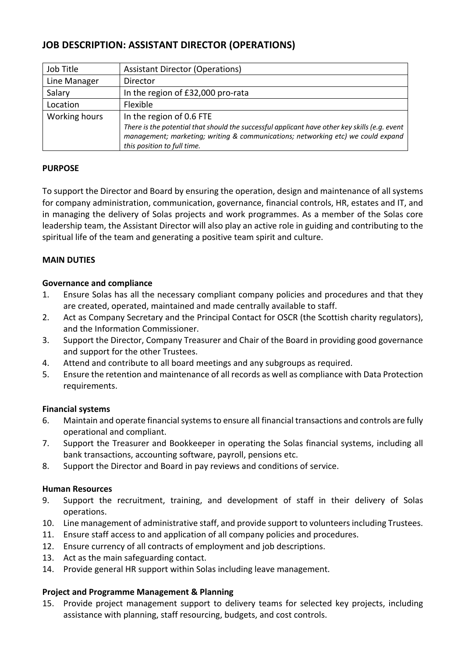# **JOB DESCRIPTION: ASSISTANT DIRECTOR (OPERATIONS)**

| Job Title     | <b>Assistant Director (Operations)</b>                                                                                                                                                                           |  |
|---------------|------------------------------------------------------------------------------------------------------------------------------------------------------------------------------------------------------------------|--|
| Line Manager  | Director                                                                                                                                                                                                         |  |
| Salary        | In the region of £32,000 pro-rata                                                                                                                                                                                |  |
| Location      | Flexible                                                                                                                                                                                                         |  |
| Working hours | In the region of 0.6 FTE                                                                                                                                                                                         |  |
|               | There is the potential that should the successful applicant have other key skills (e.g. event<br>management; marketing; writing & communications; networking etc) we could expand<br>this position to full time. |  |

# **PURPOSE**

To support the Director and Board by ensuring the operation, design and maintenance of all systems for company administration, communication, governance, financial controls, HR, estates and IT, and in managing the delivery of Solas projects and work programmes. As a member of the Solas core leadership team, the Assistant Director will also play an active role in guiding and contributing to the spiritual life of the team and generating a positive team spirit and culture.

## **MAIN DUTIES**

## **Governance and compliance**

- 1. Ensure Solas has all the necessary compliant company policies and procedures and that they are created, operated, maintained and made centrally available to staff.
- 2. Act as Company Secretary and the Principal Contact for OSCR (the Scottish charity regulators), and the Information Commissioner.
- 3. Support the Director, Company Treasurer and Chair of the Board in providing good governance and support for the other Trustees.
- 4. Attend and contribute to all board meetings and any subgroups as required.
- 5. Ensure the retention and maintenance of all records as well as compliance with Data Protection requirements.

#### **Financial systems**

- 6. Maintain and operate financial systems to ensure all financial transactions and controls are fully operational and compliant.
- 7. Support the Treasurer and Bookkeeper in operating the Solas financial systems, including all bank transactions, accounting software, payroll, pensions etc.
- 8. Support the Director and Board in pay reviews and conditions of service.

## **Human Resources**

- 9. Support the recruitment, training, and development of staff in their delivery of Solas operations.
- 10. Line management of administrative staff, and provide support to volunteers including Trustees.
- 11. Ensure staff access to and application of all company policies and procedures.
- 12. Ensure currency of all contracts of employment and job descriptions.
- 13. Act as the main safeguarding contact.
- 14. Provide general HR support within Solas including leave management.

## **Project and Programme Management & Planning**

15. Provide project management support to delivery teams for selected key projects, including assistance with planning, staff resourcing, budgets, and cost controls.